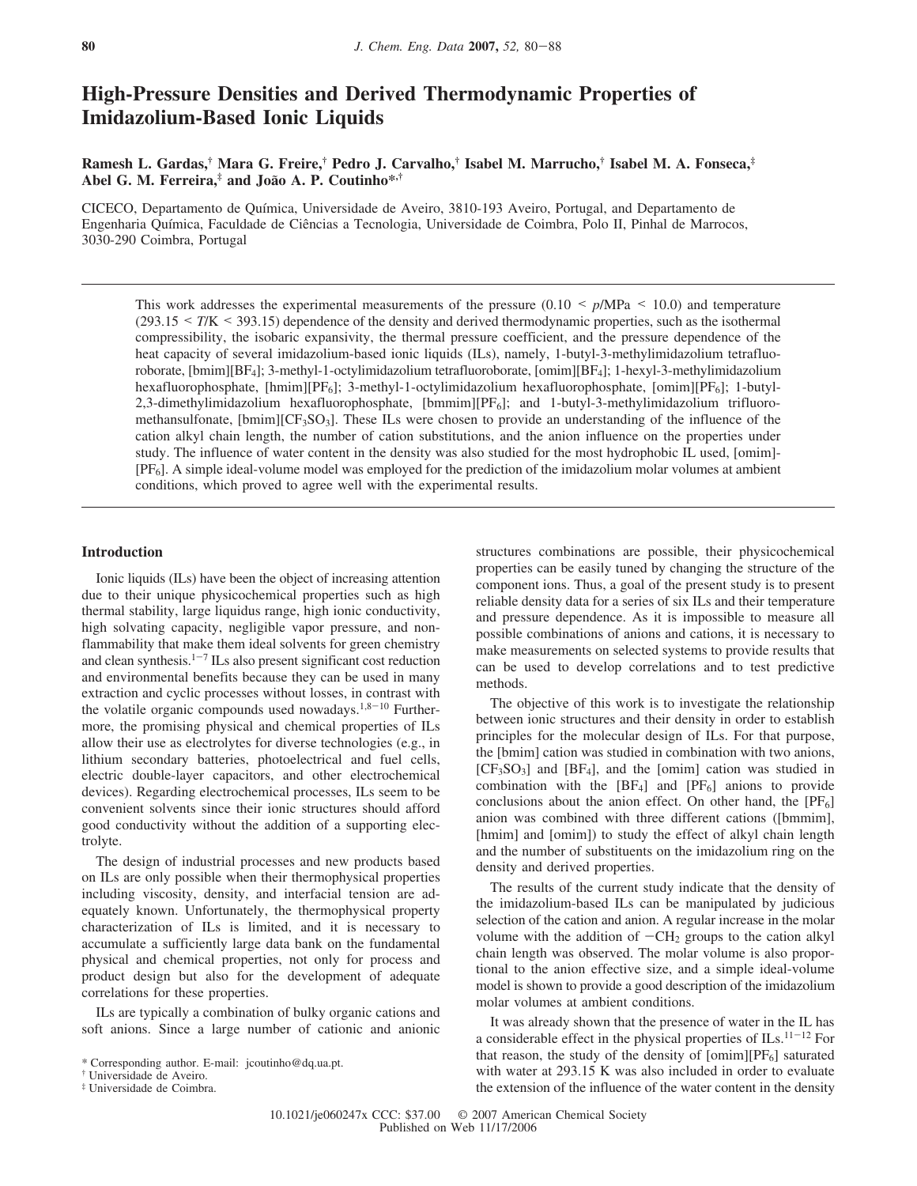# **High-Pressure Densities and Derived Thermodynamic Properties of Imidazolium-Based Ionic Liquids**

**Ramesh L. Gardas,† Mara G. Freire,† Pedro J. Carvalho,† Isabel M. Marrucho,† Isabel M. A. Fonseca,‡ Abel G. M. Ferreira,‡ and Joa**˜**o A. P. Coutinho\*,†**

CICECO, Departamento de Quı´mica, Universidade de Aveiro, 3810-193 Aveiro, Portugal, and Departamento de Engenharia Química, Faculdade de Ciências a Tecnologia, Universidade de Coimbra, Polo II, Pinhal de Marrocos, 3030-290 Coimbra, Portugal

This work addresses the experimental measurements of the pressure  $(0.10 \le p/MPa \le 10.0)$  and temperature (293.15 < *T*/K < 393.15) dependence of the density and derived thermodynamic properties, such as the isothermal compressibility, the isobaric expansivity, the thermal pressure coefficient, and the pressure dependence of the heat capacity of several imidazolium-based ionic liquids (ILs), namely, 1-butyl-3-methylimidazolium tetrafluoroborate, [bmim][BF4]; 3-methyl-1-octylimidazolium tetrafluoroborate, [omim][BF4]; 1-hexyl-3-methylimidazolium hexafluorophosphate,  $[\text{hmin}][PF_6]$ ; 3-methyl-1-octylimidazolium hexafluorophosphate,  $[\text{omin}][PF_6]$ ; 1-butyl-2,3-dimethylimidazolium hexafluorophosphate, [bmmim][PF6]; and 1-butyl-3-methylimidazolium trifluoromethansulfonate, [bmim][CF<sub>3</sub>SO<sub>3</sub>]. These ILs were chosen to provide an understanding of the influence of the cation alkyl chain length, the number of cation substitutions, and the anion influence on the properties under study. The influence of water content in the density was also studied for the most hydrophobic IL used, [omim]- [PF6]. A simple ideal-volume model was employed for the prediction of the imidazolium molar volumes at ambient conditions, which proved to agree well with the experimental results.

## **Introduction**

Ionic liquids (ILs) have been the object of increasing attention due to their unique physicochemical properties such as high thermal stability, large liquidus range, high ionic conductivity, high solvating capacity, negligible vapor pressure, and nonflammability that make them ideal solvents for green chemistry and clean synthesis. $1-7$  ILs also present significant cost reduction and environmental benefits because they can be used in many extraction and cyclic processes without losses, in contrast with the volatile organic compounds used nowadays.<sup>1,8-10</sup> Furthermore, the promising physical and chemical properties of ILs allow their use as electrolytes for diverse technologies (e.g., in lithium secondary batteries, photoelectrical and fuel cells, electric double-layer capacitors, and other electrochemical devices). Regarding electrochemical processes, ILs seem to be convenient solvents since their ionic structures should afford good conductivity without the addition of a supporting electrolyte.

The design of industrial processes and new products based on ILs are only possible when their thermophysical properties including viscosity, density, and interfacial tension are adequately known. Unfortunately, the thermophysical property characterization of ILs is limited, and it is necessary to accumulate a sufficiently large data bank on the fundamental physical and chemical properties, not only for process and product design but also for the development of adequate correlations for these properties.

ILs are typically a combination of bulky organic cations and soft anions. Since a large number of cationic and anionic

† Universidade de Aveiro.

‡ Universidade de Coimbra.

structures combinations are possible, their physicochemical properties can be easily tuned by changing the structure of the component ions. Thus, a goal of the present study is to present reliable density data for a series of six ILs and their temperature and pressure dependence. As it is impossible to measure all possible combinations of anions and cations, it is necessary to make measurements on selected systems to provide results that can be used to develop correlations and to test predictive methods.

The objective of this work is to investigate the relationship between ionic structures and their density in order to establish principles for the molecular design of ILs. For that purpose, the [bmim] cation was studied in combination with two anions,  $[CF<sub>3</sub>SO<sub>3</sub>]$  and  $[BF<sub>4</sub>]$ , and the [omim] cation was studied in combination with the  $[BF_4]$  and  $[PF_6]$  anions to provide conclusions about the anion effect. On other hand, the  $[PF_6]$ anion was combined with three different cations ([bmmim], [hmim] and [omim]) to study the effect of alkyl chain length and the number of substituents on the imidazolium ring on the density and derived properties.

The results of the current study indicate that the density of the imidazolium-based ILs can be manipulated by judicious selection of the cation and anion. A regular increase in the molar volume with the addition of  $-CH_2$  groups to the cation alkyl chain length was observed. The molar volume is also proportional to the anion effective size, and a simple ideal-volume model is shown to provide a good description of the imidazolium molar volumes at ambient conditions.

It was already shown that the presence of water in the IL has a considerable effect in the physical properties of ILs.<sup>11</sup>-<sup>12</sup> For that reason, the study of the density of  $[{\rm omin}][PF_6]$  saturated with water at 293.15 K was also included in order to evaluate the extension of the influence of the water content in the density

<sup>\*</sup> Corresponding author. E-mail: jcoutinho@dq.ua.pt.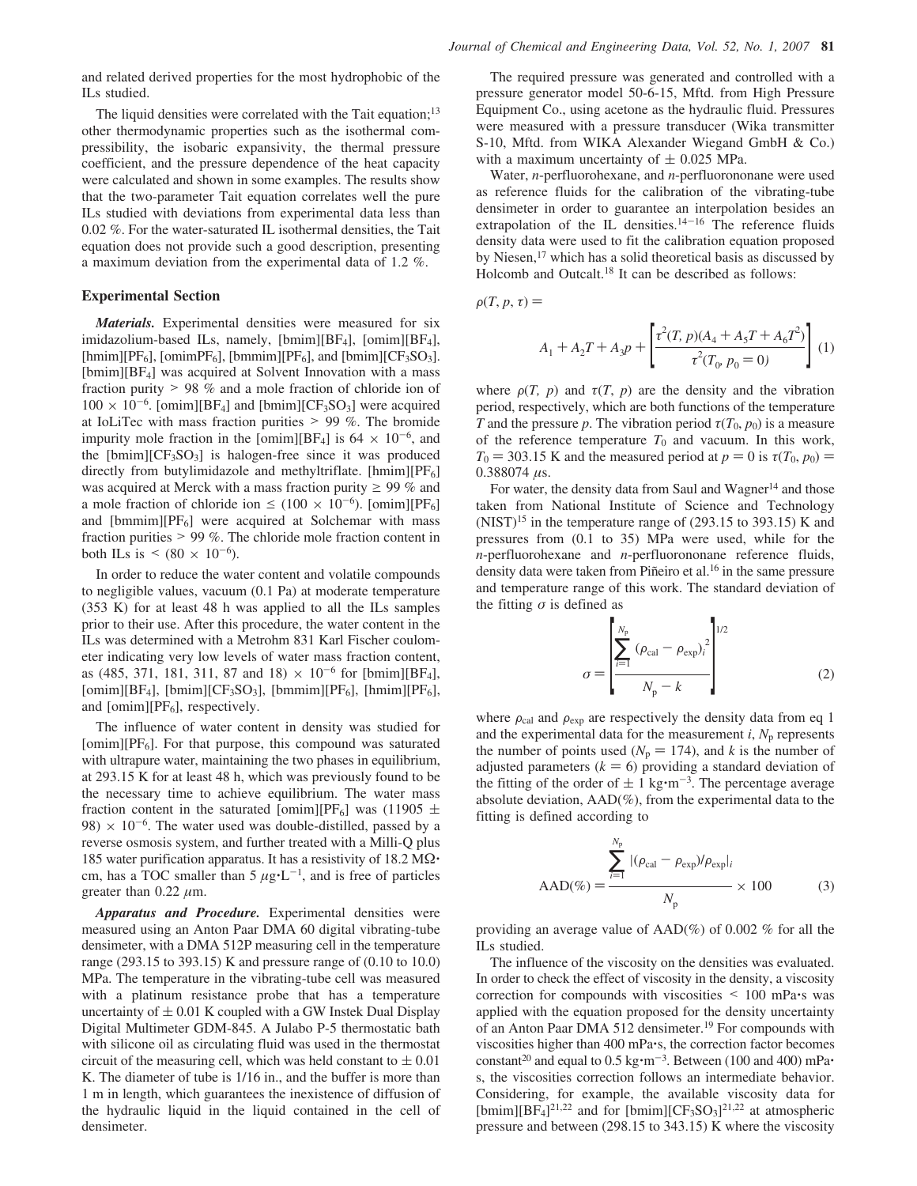and related derived properties for the most hydrophobic of the ILs studied.

The liquid densities were correlated with the Tait equation;<sup>13</sup> other thermodynamic properties such as the isothermal compressibility, the isobaric expansivity, the thermal pressure coefficient, and the pressure dependence of the heat capacity were calculated and shown in some examples. The results show that the two-parameter Tait equation correlates well the pure ILs studied with deviations from experimental data less than 0.02 %. For the water-saturated IL isothermal densities, the Tait equation does not provide such a good description, presenting a maximum deviation from the experimental data of 1.2 %.

### **Experimental Section**

*Materials.* Experimental densities were measured for six imidazolium-based ILs, namely, [bmim][BF4], [omim][BF4], [hmim][PF<sub>6</sub>], [omimPF<sub>6</sub>], [bmmim][PF<sub>6</sub>], and [bmim][CF<sub>3</sub>SO<sub>3</sub>]. [bmim][BF<sub>4</sub>] was acquired at Solvent Innovation with a mass fraction purity > 98 % and a mole fraction of chloride ion of  $100 \times 10^{-6}$ . [omim][BF<sub>4</sub>] and [bmim][CF<sub>3</sub>SO<sub>3</sub>] were acquired at IoLiTec with mass fraction purities  $> 99\%$ . The bromide impurity mole fraction in the [omim][BF<sub>4</sub>] is  $64 \times 10^{-6}$ , and the  $[bmin][CF_3SO_3]$  is halogen-free since it was produced directly from butylimidazole and methyltriflate. [hmim][ $PF_6$ ] was acquired at Merck with a mass fraction purity  $\geq 99$  % and a mole fraction of chloride ion  $\leq (100 \times 10^{-6})$ . [omim][PF<sub>6</sub>] and  $[bmmim][PF_6]$  were acquired at Solchemar with mass fraction purities  $> 99\%$ . The chloride mole fraction content in both ILs is  $\leq (80 \times 10^{-6})$ .

In order to reduce the water content and volatile compounds to negligible values, vacuum (0.1 Pa) at moderate temperature (353 K) for at least 48 h was applied to all the ILs samples prior to their use. After this procedure, the water content in the ILs was determined with a Metrohm 831 Karl Fischer coulometer indicating very low levels of water mass fraction content, as (485, 371, 181, 311, 87 and 18)  $\times$  10<sup>-6</sup> for [bmim][BF<sub>4</sub>],  $[{\rm omin}][BF_4]$ ,  $[{\rm bmin}][CF_3SO_3]$ ,  $[{\rm bmin}][PF_6]$ ,  $[{\rm hmin}][PF_6]$ , and  $[omin][PF<sub>6</sub>]$ , respectively.

The influence of water content in density was studied for  $[{\rm omim}][PF_6]$ . For that purpose, this compound was saturated with ultrapure water, maintaining the two phases in equilibrium, at 293.15 K for at least 48 h, which was previously found to be the necessary time to achieve equilibrium. The water mass fraction content in the saturated [omim][PF<sub>6</sub>] was (11905  $\pm$ 98)  $\times$  10<sup>-6</sup>. The water used was double-distilled, passed by a reverse osmosis system, and further treated with a Milli-Q plus 185 water purification apparatus. It has a resistivity of 18.2 MΩ' cm, has a TOC smaller than  $5 \mu g \cdot L^{-1}$ , and is free of particles greater than  $0.22 \mu m$ .

*Apparatus and Procedure.* Experimental densities were measured using an Anton Paar DMA 60 digital vibrating-tube densimeter, with a DMA 512P measuring cell in the temperature range (293.15 to 393.15) K and pressure range of (0.10 to 10.0) MPa. The temperature in the vibrating-tube cell was measured with a platinum resistance probe that has a temperature uncertainty of  $\pm$  0.01 K coupled with a GW Instek Dual Display Digital Multimeter GDM-845. A Julabo P-5 thermostatic bath with silicone oil as circulating fluid was used in the thermostat circuit of the measuring cell, which was held constant to  $\pm 0.01$ K. The diameter of tube is 1/16 in., and the buffer is more than 1 m in length, which guarantees the inexistence of diffusion of the hydraulic liquid in the liquid contained in the cell of densimeter.

The required pressure was generated and controlled with a pressure generator model 50-6-15, Mftd. from High Pressure Equipment Co., using acetone as the hydraulic fluid. Pressures were measured with a pressure transducer (Wika transmitter S-10, Mftd. from WIKA Alexander Wiegand GmbH & Co.) with a maximum uncertainty of  $\pm$  0.025 MPa.

Water, *n*-perfluorohexane, and *n*-perfluorononane were used as reference fluids for the calibration of the vibrating-tube densimeter in order to guarantee an interpolation besides an extrapolation of the IL densities.<sup>14-16</sup> The reference fluids density data were used to fit the calibration equation proposed by Niesen,<sup>17</sup> which has a solid theoretical basis as discussed by Holcomb and Outcalt.<sup>18</sup> It can be described as follows:

 $\rho(T, p, \tau) =$ 

$$
A_1 + A_2T + A_3p + \left[ \frac{\tau^2(T, p)(A_4 + A_5T + A_6T^2)}{\tau^2(T_0, p_0 = 0)} \right] (1)
$$

where  $\rho(T, p)$  and  $\tau(T, p)$  are the density and the vibration period, respectively, which are both functions of the temperature *T* and the pressure *p*. The vibration period  $\tau(T_0, p_0)$  is a measure of the reference temperature  $T_0$  and vacuum. In this work,  $T_0 = 303.15$  K and the measured period at  $p = 0$  is  $\tau(T_0, p_0) =$  $0.388074 \mu s$ .

For water, the density data from Saul and Wagner<sup>14</sup> and those taken from National Institute of Science and Technology  $(NIST)^{15}$  in the temperature range of (293.15 to 393.15) K and pressures from (0.1 to 35) MPa were used, while for the *n*-perfluorohexane and *n*-perfluorononane reference fluids, density data were taken from Piñeiro et al.<sup>16</sup> in the same pressure and temperature range of this work. The standard deviation of the fitting  $\sigma$  is defined as

$$
\sigma = \left[ \frac{\sum_{i=1}^{N_{\rm p}} (\rho_{\rm cal} - \rho_{\rm exp})_i^2}{N_{\rm p} - k} \right]^{1/2}
$$
(2)

where  $\rho_{\text{cal}}$  and  $\rho_{\text{exp}}$  are respectively the density data from eq 1 and the experimental data for the measurement  $i$ ,  $N_p$  represents the number of points used ( $N_p = 174$ ), and *k* is the number of adjusted parameters  $(k = 6)$  providing a standard deviation of the fitting of the order of  $\pm 1 \text{ kg} \cdot \text{m}^{-3}$ . The percentage average absolute deviation, AAD(*%*), from the experimental data to the fitting is defined according to

$$
AAD(\%) = \frac{\sum_{i=1}^{N_{\rm p}} |(\rho_{\rm cal} - \rho_{\rm exp})/\rho_{\rm exp}|_i}{N_{\rm p}} \times 100
$$
 (3)

providing an average value of AAD(%) of 0.002 % for all the ILs studied.

The influence of the viscosity on the densities was evaluated. In order to check the effect of viscosity in the density, a viscosity correction for compounds with viscosities < 100 mPa's was applied with the equation proposed for the density uncertainty of an Anton Paar DMA 512 densimeter.<sup>19</sup> For compounds with viscosities higher than 400 mPa's, the correction factor becomes constant<sup>20</sup> and equal to  $0.5 \text{ kg} \cdot \text{m}^{-3}$ . Between (100 and 400) mPa $\cdot$ s, the viscosities correction follows an intermediate behavior. Considering, for example, the available viscosity data for [bmim][BF<sub>4</sub>]<sup>21,22</sup> and for [bmim][CF<sub>3</sub>SO<sub>3</sub>]<sup>21,22</sup> at atmospheric pressure and between (298.15 to 343.15) K where the viscosity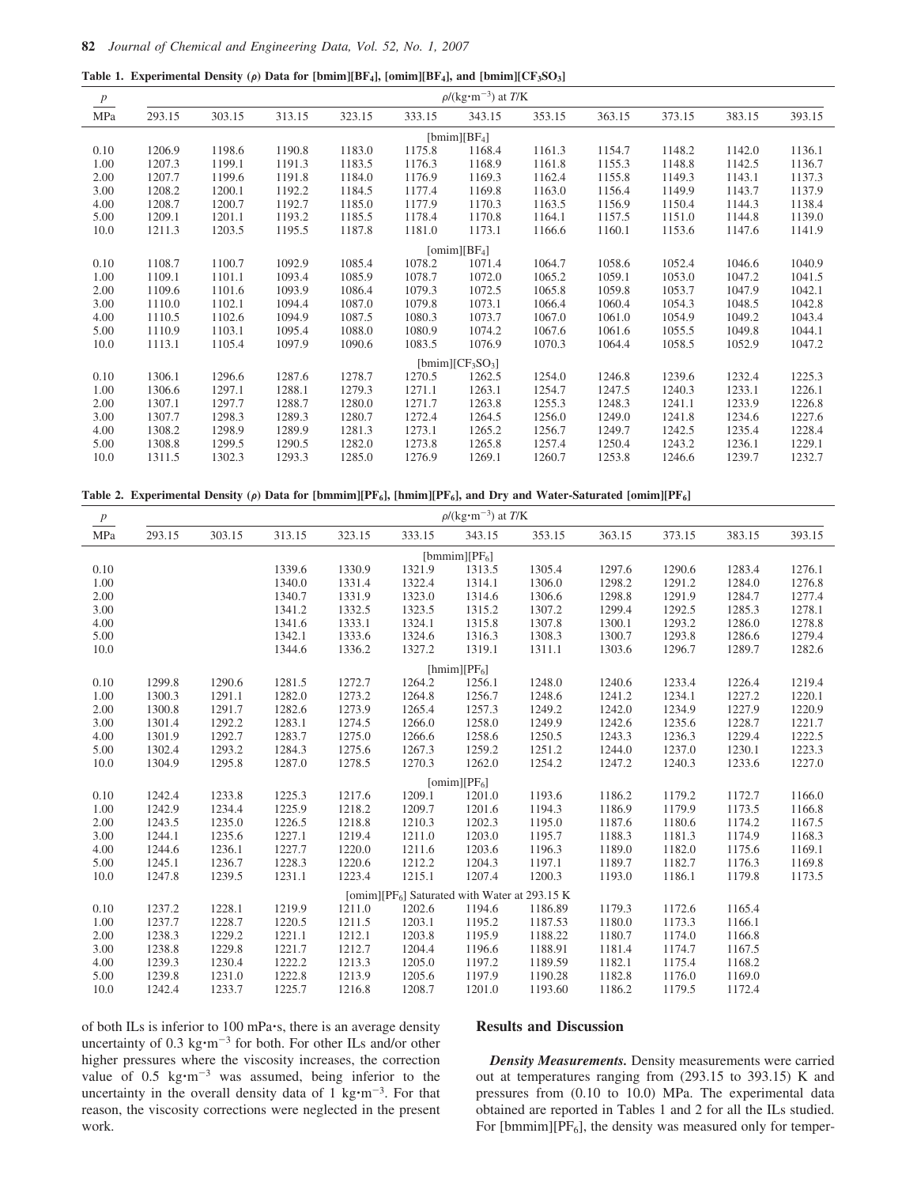|  |  |  |  |  |  |  | Table 1. Experimental Density ( $\rho$ ) Data for [bmim][BF <sub>4</sub> ], [omim][BF <sub>4</sub> ], and [bmim][CF <sub>3</sub> SO <sub>3</sub> ] |  |
|--|--|--|--|--|--|--|----------------------------------------------------------------------------------------------------------------------------------------------------|--|
|--|--|--|--|--|--|--|----------------------------------------------------------------------------------------------------------------------------------------------------|--|

| $\frac{p}{\sqrt{p}}$     | $\rho$ /(kg·m <sup>-3</sup> ) at T/K |        |        |        |        |                    |        |        |        |        |        |  |
|--------------------------|--------------------------------------|--------|--------|--------|--------|--------------------|--------|--------|--------|--------|--------|--|
| MPa                      | 293.15                               | 303.15 | 313.15 | 323.15 | 333.15 | 343.15             | 353.15 | 363.15 | 373.15 | 383.15 | 393.15 |  |
| [bmin][BF <sub>4</sub> ] |                                      |        |        |        |        |                    |        |        |        |        |        |  |
| 0.10                     | 1206.9                               | 1198.6 | 1190.8 | 1183.0 | 1175.8 | 1168.4             | 1161.3 | 1154.7 | 1148.2 | 1142.0 | 1136.1 |  |
| 1.00                     | 1207.3                               | 1199.1 | 1191.3 | 1183.5 | 1176.3 | 1168.9             | 1161.8 | 1155.3 | 1148.8 | 1142.5 | 1136.7 |  |
| 2.00                     | 1207.7                               | 1199.6 | 1191.8 | 1184.0 | 1176.9 | 1169.3             | 1162.4 | 1155.8 | 1149.3 | 1143.1 | 1137.3 |  |
| 3.00                     | 1208.2                               | 1200.1 | 1192.2 | 1184.5 | 1177.4 | 1169.8             | 1163.0 | 1156.4 | 1149.9 | 1143.7 | 1137.9 |  |
| 4.00                     | 1208.7                               | 1200.7 | 1192.7 | 1185.0 | 1177.9 | 1170.3             | 1163.5 | 1156.9 | 1150.4 | 1144.3 | 1138.4 |  |
| 5.00                     | 1209.1                               | 1201.1 | 1193.2 | 1185.5 | 1178.4 | 1170.8             | 1164.1 | 1157.5 | 1151.0 | 1144.8 | 1139.0 |  |
| 10.0                     | 1211.3                               | 1203.5 | 1195.5 | 1187.8 | 1181.0 | 1173.1             | 1166.6 | 1160.1 | 1153.6 | 1147.6 | 1141.9 |  |
| [omin][BF <sub>4</sub> ] |                                      |        |        |        |        |                    |        |        |        |        |        |  |
| 0.10                     | 1108.7                               | 1100.7 | 1092.9 | 1085.4 | 1078.2 | 1071.4             | 1064.7 | 1058.6 | 1052.4 | 1046.6 | 1040.9 |  |
| 1.00                     | 1109.1                               | 1101.1 | 1093.4 | 1085.9 | 1078.7 | 1072.0             | 1065.2 | 1059.1 | 1053.0 | 1047.2 | 1041.5 |  |
| 2.00                     | 1109.6                               | 1101.6 | 1093.9 | 1086.4 | 1079.3 | 1072.5             | 1065.8 | 1059.8 | 1053.7 | 1047.9 | 1042.1 |  |
| 3.00                     | 1110.0                               | 1102.1 | 1094.4 | 1087.0 | 1079.8 | 1073.1             | 1066.4 | 1060.4 | 1054.3 | 1048.5 | 1042.8 |  |
| 4.00                     | 1110.5                               | 1102.6 | 1094.9 | 1087.5 | 1080.3 | 1073.7             | 1067.0 | 1061.0 | 1054.9 | 1049.2 | 1043.4 |  |
| 5.00                     | 1110.9                               | 1103.1 | 1095.4 | 1088.0 | 1080.9 | 1074.2             | 1067.6 | 1061.6 | 1055.5 | 1049.8 | 1044.1 |  |
| 10.0                     | 1113.1                               | 1105.4 | 1097.9 | 1090.6 | 1083.5 | 1076.9             | 1070.3 | 1064.4 | 1058.5 | 1052.9 | 1047.2 |  |
|                          |                                      |        |        |        |        | $[bmim][CF_3SO_3]$ |        |        |        |        |        |  |
| 0.10                     | 1306.1                               | 1296.6 | 1287.6 | 1278.7 | 1270.5 | 1262.5             | 1254.0 | 1246.8 | 1239.6 | 1232.4 | 1225.3 |  |
| 1.00                     | 1306.6                               | 1297.1 | 1288.1 | 1279.3 | 1271.1 | 1263.1             | 1254.7 | 1247.5 | 1240.3 | 1233.1 | 1226.1 |  |
| 2.00                     | 1307.1                               | 1297.7 | 1288.7 | 1280.0 | 1271.7 | 1263.8             | 1255.3 | 1248.3 | 1241.1 | 1233.9 | 1226.8 |  |
| 3.00                     | 1307.7                               | 1298.3 | 1289.3 | 1280.7 | 1272.4 | 1264.5             | 1256.0 | 1249.0 | 1241.8 | 1234.6 | 1227.6 |  |
| 4.00                     | 1308.2                               | 1298.9 | 1289.9 | 1281.3 | 1273.1 | 1265.2             | 1256.7 | 1249.7 | 1242.5 | 1235.4 | 1228.4 |  |
| 5.00                     | 1308.8                               | 1299.5 | 1290.5 | 1282.0 | 1273.8 | 1265.8             | 1257.4 | 1250.4 | 1243.2 | 1236.1 | 1229.1 |  |
| 10.0                     | 1311.5                               | 1302.3 | 1293.3 | 1285.0 | 1276.9 | 1269.1             | 1260.7 | 1253.8 | 1246.6 | 1239.7 | 1232.7 |  |

|  |  |  |  |  |  |  | Table 2. Experimental Density ( $\rho$ ) Data for [bmmim][PF <sub>6</sub> ], [hmim][PF <sub>6</sub> ], and Dry and Water-Saturated [omim][PF <sub>6</sub> ] |  |
|--|--|--|--|--|--|--|-------------------------------------------------------------------------------------------------------------------------------------------------------------|--|
|--|--|--|--|--|--|--|-------------------------------------------------------------------------------------------------------------------------------------------------------------|--|

| $\mathcal{P}$            | $\rho$ /(kg·m <sup>-3</sup> ) at <i>T</i> /K |        |        |        |                                                           |                          |         |        |        |        |        |
|--------------------------|----------------------------------------------|--------|--------|--------|-----------------------------------------------------------|--------------------------|---------|--------|--------|--------|--------|
| MPa                      | 293.15                                       | 303.15 | 313.15 | 323.15 | 333.15                                                    | 343.15                   | 353.15  | 363.15 | 373.15 | 383.15 | 393.15 |
|                          |                                              |        |        |        |                                                           | [bmmim][ $PF_6$ ]        |         |        |        |        |        |
| 0.10                     |                                              |        | 1339.6 | 1330.9 | 1321.9                                                    | 1313.5                   | 1305.4  | 1297.6 | 1290.6 | 1283.4 | 1276.1 |
| 1.00                     |                                              |        | 1340.0 | 1331.4 | 1322.4                                                    | 1314.1                   | 1306.0  | 1298.2 | 1291.2 | 1284.0 | 1276.8 |
| 2.00                     |                                              |        | 1340.7 | 1331.9 | 1323.0                                                    | 1314.6                   | 1306.6  | 1298.8 | 1291.9 | 1284.7 | 1277.4 |
| 3.00                     |                                              |        | 1341.2 | 1332.5 | 1323.5                                                    | 1315.2                   | 1307.2  | 1299.4 | 1292.5 | 1285.3 | 1278.1 |
| 4.00                     |                                              |        | 1341.6 | 1333.1 | 1324.1                                                    | 1315.8                   | 1307.8  | 1300.1 | 1293.2 | 1286.0 | 1278.8 |
| 5.00                     |                                              |        | 1342.1 | 1333.6 | 1324.6                                                    | 1316.3                   | 1308.3  | 1300.7 | 1293.8 | 1286.6 | 1279.4 |
| 10.0                     |                                              |        | 1344.6 | 1336.2 | 1327.2                                                    | 1319.1                   | 1311.1  | 1303.6 | 1296.7 | 1289.7 | 1282.6 |
| [hmin][PF <sub>6</sub> ] |                                              |        |        |        |                                                           |                          |         |        |        |        |        |
| 0.10                     | 1299.8                                       | 1290.6 | 1281.5 | 1272.7 | 1264.2                                                    | 1256.1                   | 1248.0  | 1240.6 | 1233.4 | 1226.4 | 1219.4 |
| 1.00                     | 1300.3                                       | 1291.1 | 1282.0 | 1273.2 | 1264.8                                                    | 1256.7                   | 1248.6  | 1241.2 | 1234.1 | 1227.2 | 1220.1 |
| 2.00                     | 1300.8                                       | 1291.7 | 1282.6 | 1273.9 | 1265.4                                                    | 1257.3                   | 1249.2  | 1242.0 | 1234.9 | 1227.9 | 1220.9 |
| 3.00                     | 1301.4                                       | 1292.2 | 1283.1 | 1274.5 | 1266.0                                                    | 1258.0                   | 1249.9  | 1242.6 | 1235.6 | 1228.7 | 1221.7 |
| 4.00                     | 1301.9                                       | 1292.7 | 1283.7 | 1275.0 | 1266.6                                                    | 1258.6                   | 1250.5  | 1243.3 | 1236.3 | 1229.4 | 1222.5 |
| 5.00                     | 1302.4                                       | 1293.2 | 1284.3 | 1275.6 | 1267.3                                                    | 1259.2                   | 1251.2  | 1244.0 | 1237.0 | 1230.1 | 1223.3 |
| 10.0                     | 1304.9                                       | 1295.8 | 1287.0 | 1278.5 | 1270.3                                                    | 1262.0                   | 1254.2  | 1247.2 | 1240.3 | 1233.6 | 1227.0 |
|                          |                                              |        |        |        |                                                           | [omim][PF <sub>6</sub> ] |         |        |        |        |        |
| 0.10                     | 1242.4                                       | 1233.8 | 1225.3 | 1217.6 | 1209.1                                                    | 1201.0                   | 1193.6  | 1186.2 | 1179.2 | 1172.7 | 1166.0 |
| 1.00                     | 1242.9                                       | 1234.4 | 1225.9 | 1218.2 | 1209.7                                                    | 1201.6                   | 1194.3  | 1186.9 | 1179.9 | 1173.5 | 1166.8 |
| 2.00                     | 1243.5                                       | 1235.0 | 1226.5 | 1218.8 | 1210.3                                                    | 1202.3                   | 1195.0  | 1187.6 | 1180.6 | 1174.2 | 1167.5 |
| 3.00                     | 1244.1                                       | 1235.6 | 1227.1 | 1219.4 | 1211.0                                                    | 1203.0                   | 1195.7  | 1188.3 | 1181.3 | 1174.9 | 1168.3 |
| 4.00                     | 1244.6                                       | 1236.1 | 1227.7 | 1220.0 | 1211.6                                                    | 1203.6                   | 1196.3  | 1189.0 | 1182.0 | 1175.6 | 1169.1 |
| 5.00                     | 1245.1                                       | 1236.7 | 1228.3 | 1220.6 | 1212.2                                                    | 1204.3                   | 1197.1  | 1189.7 | 1182.7 | 1176.3 | 1169.8 |
| 10.0                     | 1247.8                                       | 1239.5 | 1231.1 | 1223.4 | 1215.1                                                    | 1207.4                   | 1200.3  | 1193.0 | 1186.1 | 1179.8 | 1173.5 |
|                          |                                              |        |        |        | [omim][PF <sub>6</sub> ] Saturated with Water at 293.15 K |                          |         |        |        |        |        |
| 0.10                     | 1237.2                                       | 1228.1 | 1219.9 | 1211.0 | 1202.6                                                    | 1194.6                   | 1186.89 | 1179.3 | 1172.6 | 1165.4 |        |
| 1.00                     | 1237.7                                       | 1228.7 | 1220.5 | 1211.5 | 1203.1                                                    | 1195.2                   | 1187.53 | 1180.0 | 1173.3 | 1166.1 |        |
| 2.00                     | 1238.3                                       | 1229.2 | 1221.1 | 1212.1 | 1203.8                                                    | 1195.9                   | 1188.22 | 1180.7 | 1174.0 | 1166.8 |        |
| 3.00                     | 1238.8                                       | 1229.8 | 1221.7 | 1212.7 | 1204.4                                                    | 1196.6                   | 1188.91 | 1181.4 | 1174.7 | 1167.5 |        |
| 4.00                     | 1239.3                                       | 1230.4 | 1222.2 | 1213.3 | 1205.0                                                    | 1197.2                   | 1189.59 | 1182.1 | 1175.4 | 1168.2 |        |
| 5.00                     | 1239.8                                       | 1231.0 | 1222.8 | 1213.9 | 1205.6                                                    | 1197.9                   | 1190.28 | 1182.8 | 1176.0 | 1169.0 |        |
| 10.0                     | 1242.4                                       | 1233.7 | 1225.7 | 1216.8 | 1208.7                                                    | 1201.0                   | 1193.60 | 1186.2 | 1179.5 | 1172.4 |        |

of both ILs is inferior to 100 mPa's, there is an average density uncertainty of  $0.3 \text{ kg} \cdot \text{m}^{-3}$  for both. For other ILs and/or other higher pressures where the viscosity increases, the correction value of 0.5  $kg \cdot m^{-3}$  was assumed, being inferior to the uncertainty in the overall density data of 1  $\text{kg}\cdot\text{m}^{-3}$ . For that reason, the viscosity corrections were neglected in the present work.

#### **Results and Discussion**

*Density Measurements.* Density measurements were carried out at temperatures ranging from (293.15 to 393.15) K and pressures from (0.10 to 10.0) MPa. The experimental data obtained are reported in Tables 1 and 2 for all the ILs studied. For [bmmim][PF<sub>6</sub>], the density was measured only for temper-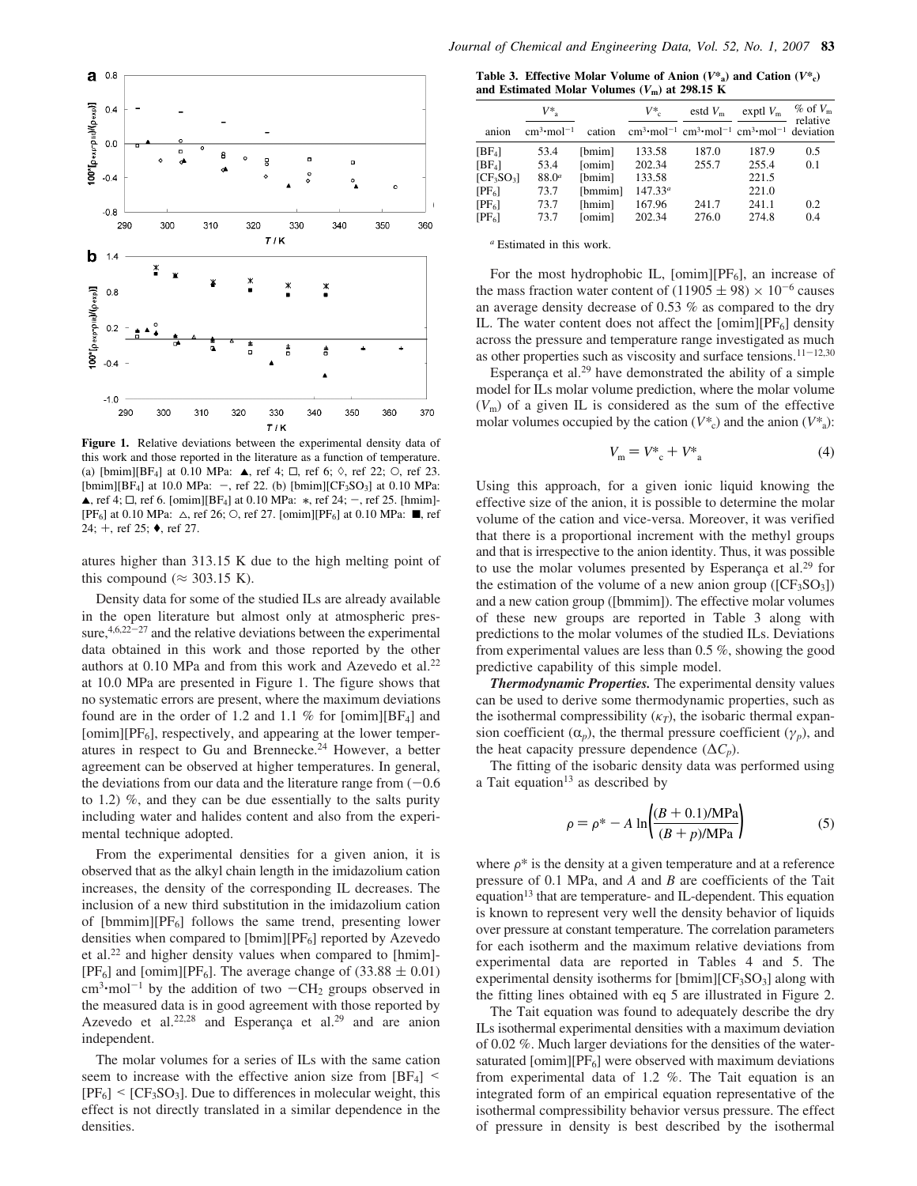

**Figure 1.** Relative deviations between the experimental density data of this work and those reported in the literature as a function of temperature. (a)  $[bmin][BF<sub>4</sub>]$  at 0.10 MPa:  $\blacktriangle$ , ref 4;  $\square$ , ref 6;  $\diamond$ , ref 22;  $\square$ , ref 23. [bmim][BF<sub>4</sub>] at 10.0 MPa:  $-$ , ref 22. (b) [bmim][CF<sub>3</sub>SO<sub>3</sub>] at 0.10 MPa:  $\blacktriangle$ , ref 4;  $\Box$ , ref 6. [omim][BF<sub>4</sub>] at 0.10 MPa:  $\ast$ , ref 24;  $\lnot$ , ref 25. [hmim]-[PF<sub>6</sub>] at 0.10 MPa:  $\triangle$ , ref 26;  $\heartsuit$ , ref 27. [omim][PF<sub>6</sub>] at 0.10 MPa:  $\blacksquare$ , ref 24;  $+$ , ref 25;  $\blacklozenge$ , ref 27.

atures higher than 313.15 K due to the high melting point of this compound ( $\approx$  303.15 K).

Density data for some of the studied ILs are already available in the open literature but almost only at atmospheric pressure, $4.6,22-27$  and the relative deviations between the experimental data obtained in this work and those reported by the other authors at 0.10 MPa and from this work and Azevedo et al.<sup>22</sup> at 10.0 MPa are presented in Figure 1. The figure shows that no systematic errors are present, where the maximum deviations found are in the order of 1.2 and 1.1 % for  $[{\rm omin}][BF_4]$  and  $[{\rm omnim}][PF_6]$ , respectively, and appearing at the lower temperatures in respect to Gu and Brennecke.<sup>24</sup> However, a better agreement can be observed at higher temperatures. In general, the deviations from our data and the literature range from  $(-0.6$ to 1.2) %, and they can be due essentially to the salts purity including water and halides content and also from the experimental technique adopted.

From the experimental densities for a given anion, it is observed that as the alkyl chain length in the imidazolium cation increases, the density of the corresponding IL decreases. The inclusion of a new third substitution in the imidazolium cation of  $[bmmim][PF_6]$  follows the same trend, presenting lower densities when compared to [bmim][PF<sub>6</sub>] reported by Azevedo et al.<sup>22</sup> and higher density values when compared to [hmim]-  $[PF_6]$  and  $[omin][PF_6]$ . The average change of  $(33.88 \pm 0.01)$  $\text{cm}^3 \cdot \text{mol}^{-1}$  by the addition of two  $-\text{CH}_2$  groups observed in the measured data is in good agreement with those reported by Azevedo et al.<sup>22,28</sup> and Esperança et al.<sup>29</sup> and are anion independent.

The molar volumes for a series of ILs with the same cation seem to increase with the effective anion size from  $[BF_4]$  <  $[PF_6]$  <  $[CF_3SO_3]$ . Due to differences in molecular weight, this effect is not directly translated in a similar dependence in the densities.

**Table 3. Effective Molar Volume of Anion**  $(V^*)$  **and Cation**  $(V^*)$ **and Estimated Molar Volumes (***V***m) at 298.15 K**

|                                    | $V_{a}^*$                |         | $V^*$        | estd $V_{\rm m}$ | exptl $V_{\rm m}$                                                                                                     | $\%$ of $V_m$<br>relative |
|------------------------------------|--------------------------|---------|--------------|------------------|-----------------------------------------------------------------------------------------------------------------------|---------------------------|
| anion                              | $cm3$ ·mol <sup>-1</sup> | cation  |              |                  | $\text{cm}^3 \cdot \text{mol}^{-1}$ $\text{cm}^3 \cdot \text{mol}^{-1}$ $\text{cm}^3 \cdot \text{mol}^{-1}$ deviation |                           |
| $[BF_4]$                           | 53.4                     | [bmim]  | 133.58       | 187.0            | 187.9                                                                                                                 | 0.5                       |
| $[BF_4]$                           | 53.4                     | [omim]  | 202.34       | 255.7            | 255.4                                                                                                                 | 0.1                       |
| [CF <sub>3</sub> SO <sub>3</sub> ] | $88.0^{a}$               | [bmim]  | 133.58       |                  | 221.5                                                                                                                 |                           |
| $[PF_6]$                           | 73.7                     | [bmmim] | $147.33^{a}$ |                  | 221.0                                                                                                                 |                           |
| $[PF_6]$                           | 73.7                     | [hmin]  | 167.96       | 241.7            | 241.1                                                                                                                 | 0.2                       |
| $[PF_6]$                           | 73.7                     | [omim]  | 202.34       | 276.0            | 274.8                                                                                                                 | 0.4                       |

*<sup>a</sup>* Estimated in this work.

For the most hydrophobic IL, [omim][ $PF_6$ ], an increase of the mass fraction water content of (11905  $\pm$  98)  $\times$  10<sup>-6</sup> causes an average density decrease of 0.53 % as compared to the dry IL. The water content does not affect the  $\lceil \text{omin} \rceil$  density across the pressure and temperature range investigated as much as other properties such as viscosity and surface tensions.<sup>11-12,30</sup>

Esperança et al.<sup>29</sup> have demonstrated the ability of a simple model for ILs molar volume prediction, where the molar volume  $(V<sub>m</sub>)$  of a given IL is considered as the sum of the effective molar volumes occupied by the cation  $(V^*)$  and the anion  $(V^*)$ :

$$
V_{\rm m} = V^*_{\rm c} + V^*_{\rm a} \tag{4}
$$

Using this approach, for a given ionic liquid knowing the effective size of the anion, it is possible to determine the molar volume of the cation and vice-versa. Moreover, it was verified that there is a proportional increment with the methyl groups and that is irrespective to the anion identity. Thus, it was possible to use the molar volumes presented by Esperança et al.<sup>29</sup> for the estimation of the volume of a new anion group ( $[CF_3SO_3]$ ) and a new cation group ([bmmim]). The effective molar volumes of these new groups are reported in Table 3 along with predictions to the molar volumes of the studied ILs. Deviations from experimental values are less than 0.5 %, showing the good predictive capability of this simple model.

*Thermodynamic Properties.* The experimental density values can be used to derive some thermodynamic properties, such as the isothermal compressibility  $(\kappa_T)$ , the isobaric thermal expansion coefficient  $(\alpha_p)$ , the thermal pressure coefficient  $(\gamma_p)$ , and the heat capacity pressure dependence  $(\Delta C_p)$ .

The fitting of the isobaric density data was performed using a Tait equation<sup>13</sup> as described by

$$
\rho = \rho^* - A \ln \left( \frac{(B + 0.1)/\text{MPa}}{(B + p)/\text{MPa}} \right) \tag{5}
$$

where  $\rho^*$  is the density at a given temperature and at a reference pressure of 0.1 MPa, and *A* and *B* are coefficients of the Tait equation<sup>13</sup> that are temperature- and IL-dependent. This equation is known to represent very well the density behavior of liquids over pressure at constant temperature. The correlation parameters for each isotherm and the maximum relative deviations from experimental data are reported in Tables 4 and 5. The experimental density isotherms for  $[bmin][CF_3SO_3]$  along with the fitting lines obtained with eq 5 are illustrated in Figure 2.

The Tait equation was found to adequately describe the dry ILs isothermal experimental densities with a maximum deviation of 0.02 %. Much larger deviations for the densities of the watersaturated [omim][ $PF_6$ ] were observed with maximum deviations from experimental data of 1.2 %. The Tait equation is an integrated form of an empirical equation representative of the isothermal compressibility behavior versus pressure. The effect of pressure in density is best described by the isothermal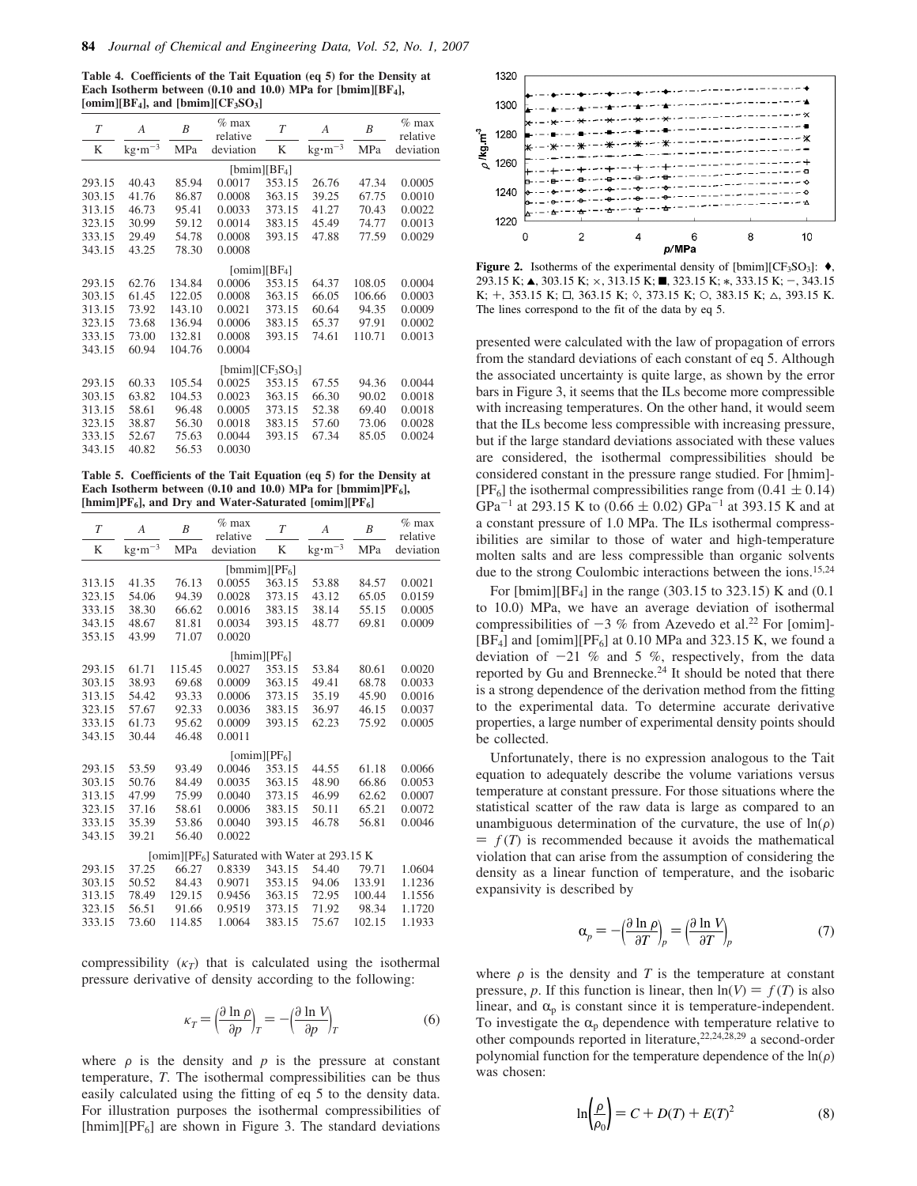**Table 4. Coefficients of the Tait Equation (eq 5) for the Density at Each Isotherm between (0.10 and 10.0) MPa for [bmim][BF4], [omim][BF4], and [bmim][CF3SO3]**

| A              | B                 | $\%$ max<br>relative | T      | A              | B                                       | $%$ max<br>relative |  |  |  |  |  |
|----------------|-------------------|----------------------|--------|----------------|-----------------------------------------|---------------------|--|--|--|--|--|
|                | MPa               | deviation            | K      |                | MPa                                     | deviation           |  |  |  |  |  |
|                |                   |                      |        |                |                                         |                     |  |  |  |  |  |
| 40.43          | 85.94             | 0.0017               | 353.15 | 26.76          | 47.34                                   | 0.0005              |  |  |  |  |  |
| 41.76          | 86.87             | 0.0008               | 363.15 | 39.25          | 67.75                                   | 0.0010              |  |  |  |  |  |
| 46.73          | 95.41             | 0.0033               | 373.15 | 41.27          | 70.43                                   | 0.0022              |  |  |  |  |  |
| 30.99          | 59.12             | 0.0014               | 383.15 | 45.49          | 74.77                                   | 0.0013              |  |  |  |  |  |
| 29.49          | 54.78             | 0.0008               | 393.15 | 47.88          | 77.59                                   | 0.0029              |  |  |  |  |  |
| 43.25          | 78.30             | 0.0008               |        |                |                                         |                     |  |  |  |  |  |
| $[omim][BF_4]$ |                   |                      |        |                |                                         |                     |  |  |  |  |  |
| 62.76          | 134.84            | 0.0006               | 353.15 | 64.37          | 108.05                                  | 0.0004              |  |  |  |  |  |
| 61.45          | 122.05            | 0.0008               | 363.15 | 66.05          | 106.66                                  | 0.0003              |  |  |  |  |  |
| 73.92          | 143.10            | 0.0021               | 373.15 | 60.64          | 94.35                                   | 0.0009              |  |  |  |  |  |
| 73.68          | 136.94            | 0.0006               | 383.15 | 65.37          | 97.91                                   | 0.0002              |  |  |  |  |  |
| 73.00          | 132.81            | 0.0008               | 393.15 | 74.61          | 110.71                                  | 0.0013              |  |  |  |  |  |
| 60.94          | 104.76            | 0.0004               |        |                |                                         |                     |  |  |  |  |  |
|                |                   |                      |        |                |                                         |                     |  |  |  |  |  |
| 60.33          | 105.54            | 0.0025               | 353.15 | 67.55          | 94.36                                   | 0.0044              |  |  |  |  |  |
| 63.82          | 104.53            | 0.0023               | 363.15 | 66.30          | 90.02                                   | 0.0018              |  |  |  |  |  |
| 58.61          | 96.48             | 0.0005               | 373.15 | 52.38          | 69.40                                   | 0.0018              |  |  |  |  |  |
| 38.87          | 56.30             | 0.0018               | 383.15 | 57.60          | 73.06                                   | 0.0028              |  |  |  |  |  |
| 52.67          | 75.63             | 0.0044               | 393.15 | 67.34          | 85.05                                   | 0.0024              |  |  |  |  |  |
| 40.82          | 56.53             | 0.0030               |        |                |                                         |                     |  |  |  |  |  |
|                | $kg \cdot m^{-3}$ |                      |        | $[bmin][BF_4]$ | $kg \cdot m^{-3}$<br>$[bmim][CF_3SO_3]$ |                     |  |  |  |  |  |

**Table 5. Coefficients of the Tait Equation (eq 5) for the Density at Each Isotherm between (0.10 and 10.0) MPa for [bmmim]PF6], [hmim]PF6], and Dry and Water-Saturated [omim][PF6]**

| T                        | $\boldsymbol{A}$  | B      | $\%$ max<br>relative                                      | T                        | $\boldsymbol{A}$  | $\boldsymbol{B}$ | $\%$ max<br>relative |  |  |  |  |
|--------------------------|-------------------|--------|-----------------------------------------------------------|--------------------------|-------------------|------------------|----------------------|--|--|--|--|
| K                        | $kg \cdot m^{-3}$ | MPa    | deviation                                                 | K                        | $kg \cdot m^{-3}$ | MPa              | deviation            |  |  |  |  |
|                          |                   |        |                                                           | [bmmim][ $PF_6$ ]        |                   |                  |                      |  |  |  |  |
| 313.15                   | 41.35             | 76.13  | 0.0055                                                    | 363.15                   | 53.88             | 84.57            | 0.0021               |  |  |  |  |
| 323.15                   | 54.06             | 94.39  | 0.0028                                                    | 373.15                   | 43.12             | 65.05            | 0.0159               |  |  |  |  |
| 333.15                   | 38.30             | 66.62  | 0.0016                                                    | 383.15                   | 38.14             | 55.15            | 0.0005               |  |  |  |  |
| 343.15                   | 48.67             | 81.81  | 0.0034                                                    | 393.15                   | 48.77             | 69.81            | 0.0009               |  |  |  |  |
| 353.15                   | 43.99             | 71.07  | 0.0020                                                    |                          |                   |                  |                      |  |  |  |  |
| [hmin][PF <sub>6</sub> ] |                   |        |                                                           |                          |                   |                  |                      |  |  |  |  |
| 293.15                   | 61.71             | 115.45 | 0.0027                                                    | 353.15                   | 53.84             | 80.61            | 0.0020               |  |  |  |  |
| 303.15                   | 38.93             | 69.68  | 0.0009                                                    | 363.15                   | 49.41             | 68.78            | 0.0033               |  |  |  |  |
| 313.15                   | 54.42             | 93.33  | 0.0006                                                    | 373.15                   | 35.19             | 45.90            | 0.0016               |  |  |  |  |
| 323.15                   | 57.67             | 92.33  | 0.0036                                                    | 383.15                   | 36.97             | 46.15            | 0.0037               |  |  |  |  |
| 333.15                   | 61.73             | 95.62  | 0.0009                                                    | 393.15                   | 62.23             | 75.92            | 0.0005               |  |  |  |  |
| 343.15                   | 30.44             | 46.48  | 0.0011                                                    |                          |                   |                  |                      |  |  |  |  |
|                          |                   |        |                                                           | [omim][PF <sub>6</sub> ] |                   |                  |                      |  |  |  |  |
| 293.15                   | 53.59             | 93.49  | 0.0046                                                    | 353.15                   | 44.55             | 61.18            | 0.0066               |  |  |  |  |
| 303.15                   | 50.76             | 84.49  | 0.0035                                                    | 363.15                   | 48.90             | 66.86            | 0.0053               |  |  |  |  |
| 313.15                   | 47.99             | 75.99  | 0.0040                                                    | 373.15                   | 46.99             | 62.62            | 0.0007               |  |  |  |  |
| 323.15                   | 37.16             | 58.61  | 0.0006                                                    | 383.15                   | 50.11             | 65.21            | 0.0072               |  |  |  |  |
| 333.15                   | 35.39             | 53.86  | 0.0040                                                    | 393.15                   | 46.78             | 56.81            | 0.0046               |  |  |  |  |
| 343.15                   | 39.21             | 56.40  | 0.0022                                                    |                          |                   |                  |                      |  |  |  |  |
|                          |                   |        | [omim][PF <sub>6</sub> ] Saturated with Water at 293.15 K |                          |                   |                  |                      |  |  |  |  |
| 293.15                   | 37.25             | 66.27  | 0.8339                                                    | 343.15                   | 54.40             | 79.71            | 1.0604               |  |  |  |  |
| 303.15                   | 50.52             | 84.43  | 0.9071                                                    | 353.15                   | 94.06             | 133.91           | 1.1236               |  |  |  |  |
| 313.15                   | 78.49             | 129.15 | 0.9456                                                    | 363.15                   | 72.95             | 100.44           | 1.1556               |  |  |  |  |
| 323.15                   | 56.51             | 91.66  | 0.9519                                                    | 373.15                   | 71.92             | 98.34            | 1.1720               |  |  |  |  |
| 333.15                   | 73.60             | 114.85 | 1.0064                                                    | 383.15                   | 75.67             | 102.15           | 1.1933               |  |  |  |  |

compressibility  $(\kappa_T)$  that is calculated using the isothermal pressure derivative of density according to the following:

$$
\kappa_T = \left(\frac{\partial \ln \rho}{\partial p}\right)_T = -\left(\frac{\partial \ln V}{\partial p}\right)_T \tag{6}
$$

where  $\rho$  is the density and  $p$  is the pressure at constant temperature, *T*. The isothermal compressibilities can be thus easily calculated using the fitting of eq 5 to the density data. For illustration purposes the isothermal compressibilities of  $[\text{hmin}][PF_6]$  are shown in Figure 3. The standard deviations



**Figure 2.** Isotherms of the experimental density of  $[bmin][CF_3SO_3]$ :  $\blacklozenge$ , 293.15 K;  $\triangle$ , 303.15 K;  $\times$ , 313.15 K;  $\blacksquare$ , 323.15 K;  $\star$ , 333.15 K; -, 343.15 K; +, 353.15 K;  $\Box$ , 363.15 K;  $\diamond$ , 373.15 K;  $\odot$ , 383.15 K;  $\triangle$ , 393.15 K. The lines correspond to the fit of the data by eq 5.

presented were calculated with the law of propagation of errors from the standard deviations of each constant of eq 5. Although the associated uncertainty is quite large, as shown by the error bars in Figure 3, it seems that the ILs become more compressible with increasing temperatures. On the other hand, it would seem that the ILs become less compressible with increasing pressure, but if the large standard deviations associated with these values are considered, the isothermal compressibilities should be considered constant in the pressure range studied. For [hmim]- [PF<sub>6</sub>] the isothermal compressibilities range from  $(0.41 \pm 0.14)$  $GPa^{-1}$  at 293.15 K to (0.66  $\pm$  0.02)  $GPa^{-1}$  at 393.15 K and at a constant pressure of 1.0 MPa. The ILs isothermal compressibilities are similar to those of water and high-temperature molten salts and are less compressible than organic solvents due to the strong Coulombic interactions between the ions.<sup>15,24</sup>

For [bmim][BF4] in the range (303.15 to 323.15) K and (0.1 to 10.0) MPa, we have an average deviation of isothermal compressibilities of  $-3$  % from Azevedo et al.<sup>22</sup> For [omim]- $[BF_4]$  and  $[omim][PF_6]$  at 0.10 MPa and 323.15 K, we found a deviation of  $-21\%$  and 5 %, respectively, from the data reported by Gu and Brennecke.<sup>24</sup> It should be noted that there is a strong dependence of the derivation method from the fitting to the experimental data. To determine accurate derivative properties, a large number of experimental density points should be collected.

Unfortunately, there is no expression analogous to the Tait equation to adequately describe the volume variations versus temperature at constant pressure. For those situations where the statistical scatter of the raw data is large as compared to an unambiguous determination of the curvature, the use of  $ln(\rho)$  $f(T)$  is recommended because it avoids the mathematical violation that can arise from the assumption of considering the density as a linear function of temperature, and the isobaric expansivity is described by

$$
\alpha_p = -\left(\frac{\partial \ln \rho}{\partial T}\right)_p = \left(\frac{\partial \ln V}{\partial T}\right)_p \tag{7}
$$

where  $\rho$  is the density and *T* is the temperature at constant pressure, *p*. If this function is linear, then  $ln(V) = f(T)$  is also linear, and  $\alpha_p$  is constant since it is temperature-independent. To investigate the  $\alpha_p$  dependence with temperature relative to other compounds reported in literature,22,24,28,29 a second-order polynomial function for the temperature dependence of the  $ln(\rho)$ was chosen:

$$
\ln\left(\frac{\rho}{\rho_0}\right) = C + D(T) + E(T)^2 \tag{8}
$$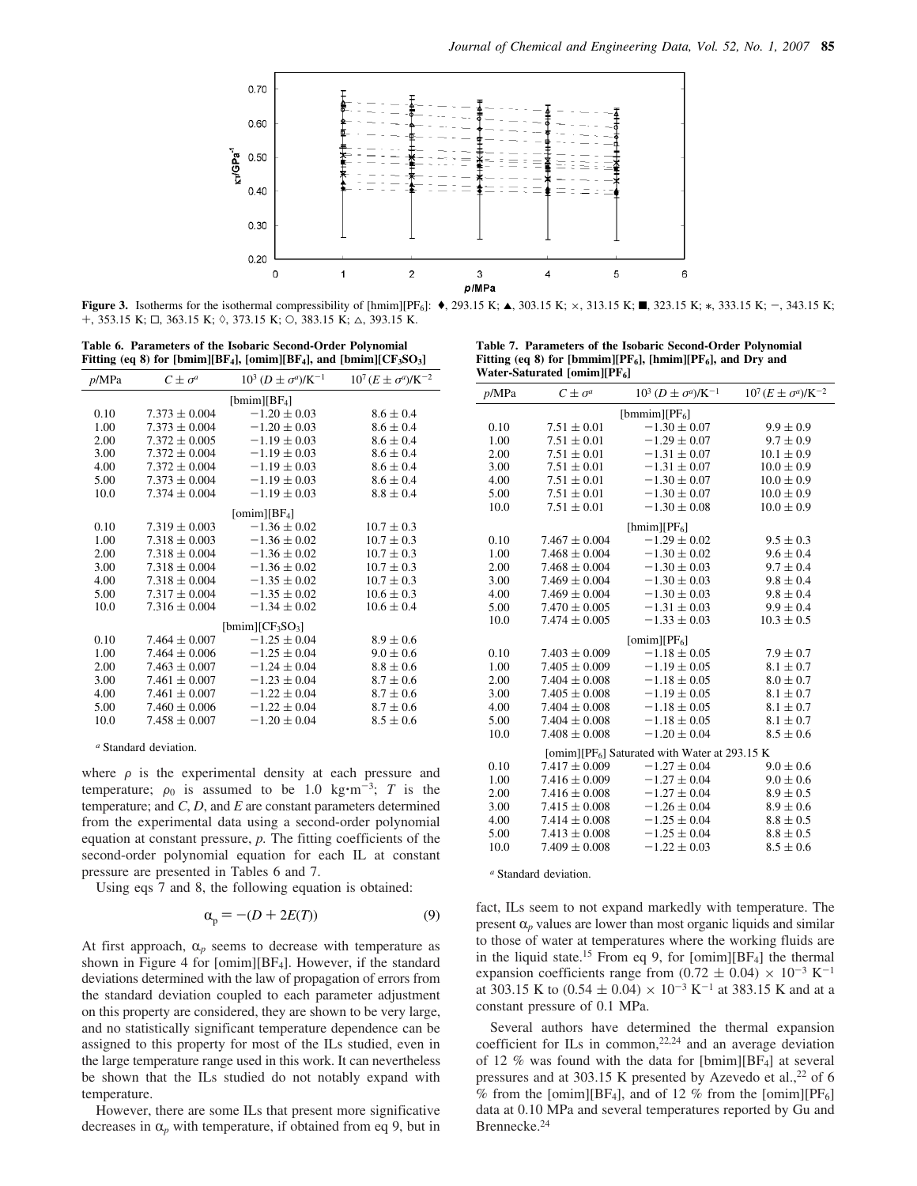

**Figure 3.** Isotherms for the isothermal compressibility of [hmim][PF6]:  $\bullet$ , 293.15 K;  $\bullet$ , 303.15 K;  $\times$ , 313.15 K;  $\blacksquare$ , 323.15 K;  $\star$ , 333.15 K;  $-$ , 343.15 K;  $+$ , 353.15 K;  $\Box$ , 363.15 K;  $\diamond$ , 373.15 K;  $\odot$ , 383.15 K;  $\triangle$ , 393.15 K.

**Table 6. Parameters of the Isobaric Second-Order Polynomial Fitting (eq 8) for [bmim][BF4], [omim][BF4], and [bmim][CF3SO3]**

| p/MPa                    | $C \pm \sigma^a$  | $10^3 (D \pm \sigma^a) / K^{-1}$ | $10^7 (E \pm \sigma^a) / K^{-2}$ |  |  |  |  |  |  |  |
|--------------------------|-------------------|----------------------------------|----------------------------------|--|--|--|--|--|--|--|
| $[bmin][BF_4]$           |                   |                                  |                                  |  |  |  |  |  |  |  |
| 0.10                     | $7.373 \pm 0.004$ | $-1.20 \pm 0.03$                 | $8.6 \pm 0.4$                    |  |  |  |  |  |  |  |
| 1.00                     | $7.373 \pm 0.004$ | $-1.20 \pm 0.03$                 | $8.6 \pm 0.4$                    |  |  |  |  |  |  |  |
| 2.00                     | $7.372 \pm 0.005$ | $-1.19 \pm 0.03$                 | $8.6 \pm 0.4$                    |  |  |  |  |  |  |  |
| 3.00                     | $7.372 \pm 0.004$ | $-1.19 \pm 0.03$                 | $8.6 \pm 0.4$                    |  |  |  |  |  |  |  |
| 4.00                     | $7.372 \pm 0.004$ | $-1.19 \pm 0.03$                 | $8.6 \pm 0.4$                    |  |  |  |  |  |  |  |
| 5.00                     | $7.373 \pm 0.004$ | $-1.19 \pm 0.03$                 | $8.6 \pm 0.4$                    |  |  |  |  |  |  |  |
| 10.0                     | $7.374 \pm 0.004$ | $-1.19 \pm 0.03$                 | $8.8 \pm 0.4$                    |  |  |  |  |  |  |  |
| [omin][BF <sub>4</sub> ] |                   |                                  |                                  |  |  |  |  |  |  |  |
| 0.10                     | $7.319 \pm 0.003$ | $-1.36 \pm 0.02$                 | $10.7 \pm 0.3$                   |  |  |  |  |  |  |  |
| 1.00                     | $7.318 \pm 0.003$ | $-1.36 \pm 0.02$                 | $10.7 \pm 0.3$                   |  |  |  |  |  |  |  |
| 2.00                     | $7.318 \pm 0.004$ | $-1.36 \pm 0.02$                 | $10.7 \pm 0.3$                   |  |  |  |  |  |  |  |
| 3.00                     | $7.318 \pm 0.004$ | $-1.36 \pm 0.02$                 | $10.7 \pm 0.3$                   |  |  |  |  |  |  |  |
| 4.00                     | $7.318 \pm 0.004$ | $-1.35 \pm 0.02$                 | $10.7 \pm 0.3$                   |  |  |  |  |  |  |  |
| 5.00                     | $7.317 \pm 0.004$ | $-1.35 \pm 0.02$                 | $10.6 \pm 0.3$                   |  |  |  |  |  |  |  |
| 10.0                     | $7.316 \pm 0.004$ | $-1.34 \pm 0.02$                 | $10.6 \pm 0.4$                   |  |  |  |  |  |  |  |
|                          |                   | $[bmim][CF_3SO_3]$               |                                  |  |  |  |  |  |  |  |
| 0.10                     | $7.464 \pm 0.007$ | $-1.25 \pm 0.04$                 | $8.9 \pm 0.6$                    |  |  |  |  |  |  |  |
| 1.00                     | $7.464 \pm 0.006$ | $-1.25 \pm 0.04$                 | $9.0 \pm 0.6$                    |  |  |  |  |  |  |  |
| 2.00                     | $7.463 \pm 0.007$ | $-1.24 \pm 0.04$                 | $8.8 \pm 0.6$                    |  |  |  |  |  |  |  |
| 3.00                     | $7.461 \pm 0.007$ | $-1.23 \pm 0.04$                 | $8.7 \pm 0.6$                    |  |  |  |  |  |  |  |
| 4.00                     | $7.461 \pm 0.007$ | $-1.22 \pm 0.04$                 | $8.7 \pm 0.6$                    |  |  |  |  |  |  |  |
| 5.00                     | $7.460 \pm 0.006$ | $-1.22 \pm 0.04$                 | $8.7 \pm 0.6$                    |  |  |  |  |  |  |  |
| 10.0                     | $7.458 \pm 0.007$ | $-1.20 \pm 0.04$                 | $8.5 + 0.6$                      |  |  |  |  |  |  |  |

*<sup>a</sup>* Standard deviation.

where  $\rho$  is the experimental density at each pressure and temperature;  $\rho_0$  is assumed to be 1.0 kg·m<sup>-3</sup>; *T* is the temperature; and *C*, *D*, and *E* are constant parameters determined from the experimental data using a second-order polynomial equation at constant pressure, *p.* The fitting coefficients of the second-order polynomial equation for each IL at constant pressure are presented in Tables 6 and 7.

Using eqs 7 and 8, the following equation is obtained:

$$
\alpha_{\mathbf{p}} = -(D + 2E(T))\tag{9}
$$

At first approach,  $\alpha_p$  seems to decrease with temperature as shown in Figure 4 for [omim][BF4]. However, if the standard deviations determined with the law of propagation of errors from the standard deviation coupled to each parameter adjustment on this property are considered, they are shown to be very large, and no statistically significant temperature dependence can be assigned to this property for most of the ILs studied, even in the large temperature range used in this work. It can nevertheless be shown that the ILs studied do not notably expand with temperature.

However, there are some ILs that present more significative decreases in  $\alpha_p$  with temperature, if obtained from eq 9, but in

**Table 7. Parameters of the Isobaric Second-Order Polynomial Fitting (eq 8) for [bmmim][PF6], [hmim][PF6], and Dry and Water-Saturated [omim][PF6]**

| p/MPa                    | $C \pm \sigma^a$  | $10^3 (D \pm \sigma^a) / K^{-1}$                  | $10^7 (E \pm \sigma^a) / K^{-2}$ |  |  |  |  |  |  |  |
|--------------------------|-------------------|---------------------------------------------------|----------------------------------|--|--|--|--|--|--|--|
|                          |                   | [bmmim][PF <sub>6</sub> ]                         |                                  |  |  |  |  |  |  |  |
| 0.10                     | $7.51 \pm 0.01$   | $-1.30 \pm 0.07$                                  | $9.9 \pm 0.9$                    |  |  |  |  |  |  |  |
| 1.00                     | $7.51 \pm 0.01$   | $-1.29 \pm 0.07$                                  | $9.7 \pm 0.9$                    |  |  |  |  |  |  |  |
| 2.00                     | $7.51 \pm 0.01$   | $-1.31 \pm 0.07$                                  | $10.1 \pm 0.9$                   |  |  |  |  |  |  |  |
| 3.00                     | $7.51 \pm 0.01$   | $-1.31 \pm 0.07$                                  | $10.0 \pm 0.9$                   |  |  |  |  |  |  |  |
| 4.00                     | $7.51 \pm 0.01$   | $-1.30 \pm 0.07$                                  | $10.0 \pm 0.9$                   |  |  |  |  |  |  |  |
| 5.00                     | $7.51 \pm 0.01$   | $-1.30 \pm 0.07$                                  | $10.0 \pm 0.9$                   |  |  |  |  |  |  |  |
| 10.0                     | $7.51 \pm 0.01$   | $-1.30 \pm 0.08$                                  | $10.0 \pm 0.9$                   |  |  |  |  |  |  |  |
| [hmin][PF <sub>6</sub> ] |                   |                                                   |                                  |  |  |  |  |  |  |  |
| 0.10                     | $7.467 \pm 0.004$ | $-1.29 \pm 0.02$                                  | $9.5 \pm 0.3$                    |  |  |  |  |  |  |  |
| 1.00                     | $7.468 \pm 0.004$ | $-1.30 \pm 0.02$                                  | $9.6 \pm 0.4$                    |  |  |  |  |  |  |  |
| 2.00                     | $7.468 \pm 0.004$ | $-1.30 \pm 0.03$                                  | $9.7 \pm 0.4$                    |  |  |  |  |  |  |  |
| 3.00                     | $7.469 \pm 0.004$ | $-1.30 \pm 0.03$                                  | $9.8 \pm 0.4$                    |  |  |  |  |  |  |  |
| 4.00                     | $7.469 \pm 0.004$ | $-1.30 \pm 0.03$                                  | $9.8 \pm 0.4$                    |  |  |  |  |  |  |  |
| 5.00                     | $7.470 \pm 0.005$ | $-1.31 \pm 0.03$                                  | $9.9 \pm 0.4$                    |  |  |  |  |  |  |  |
| 10.0                     | $7.474 \pm 0.005$ | $-1.33 \pm 0.03$                                  | $10.3 \pm 0.5$                   |  |  |  |  |  |  |  |
|                          |                   | $[omin][PF_6]$                                    |                                  |  |  |  |  |  |  |  |
| 0.10                     | $7.403 \pm 0.009$ | $-1.18 \pm 0.05$                                  | $7.9 \pm 0.7$                    |  |  |  |  |  |  |  |
| 1.00                     | $7.405 \pm 0.009$ | $-1.19 \pm 0.05$                                  | $8.1 \pm 0.7$                    |  |  |  |  |  |  |  |
| 2.00                     | $7.404 \pm 0.008$ | $-1.18 \pm 0.05$                                  | $8.0 \pm 0.7$                    |  |  |  |  |  |  |  |
| 3.00                     | $7.405 \pm 0.008$ | $-1.19 \pm 0.05$                                  | $8.1 \pm 0.7$                    |  |  |  |  |  |  |  |
| 4.00                     | $7.404 \pm 0.008$ | $-1.18 \pm 0.05$                                  | $8.1 \pm 0.7$                    |  |  |  |  |  |  |  |
| 5.00                     | $7.404 \pm 0.008$ | $-1.18 \pm 0.05$                                  | $8.1 \pm 0.7$                    |  |  |  |  |  |  |  |
| 10.0                     | $7.408 \pm 0.008$ | $-1.20 \pm 0.04$                                  | $8.5 \pm 0.6$                    |  |  |  |  |  |  |  |
|                          |                   | [omim][ $PF_6$ ] Saturated with Water at 293.15 K |                                  |  |  |  |  |  |  |  |
| 0.10                     | $7.417 \pm 0.009$ | $-1.27 \pm 0.04$                                  | $9.0 \pm 0.6$                    |  |  |  |  |  |  |  |
| 1.00                     | $7.416 \pm 0.009$ | $-1.27 \pm 0.04$                                  | $9.0 \pm 0.6$                    |  |  |  |  |  |  |  |
| 2.00                     | $7.416 \pm 0.008$ | $-1.27 \pm 0.04$                                  | $8.9 \pm 0.5$                    |  |  |  |  |  |  |  |
| 3.00                     | $7.415 \pm 0.008$ | $-1.26 \pm 0.04$                                  | $8.9 \pm 0.6$                    |  |  |  |  |  |  |  |
| 4.00                     | $7.414 \pm 0.008$ | $-1.25 \pm 0.04$                                  | $8.8 \pm 0.5$                    |  |  |  |  |  |  |  |
| 5.00                     | $7.413 \pm 0.008$ | $-1.25 \pm 0.04$                                  | $8.8 \pm 0.5$                    |  |  |  |  |  |  |  |
| 10.0                     | $7.409 \pm 0.008$ | $-1.22 \pm 0.03$                                  | $8.5 \pm 0.6$                    |  |  |  |  |  |  |  |
|                          |                   |                                                   |                                  |  |  |  |  |  |  |  |

*<sup>a</sup>* Standard deviation.

fact, ILs seem to not expand markedly with temperature. The present  $\alpha_p$  values are lower than most organic liquids and similar to those of water at temperatures where the working fluids are in the liquid state.<sup>15</sup> From eq 9, for [omim][BF<sub>4</sub>] the thermal expansion coefficients range from  $(0.72 \pm 0.04) \times 10^{-3}$  K<sup>-1</sup> at 303.15 K to  $(0.54 \pm 0.04) \times 10^{-3}$  K<sup>-1</sup> at 383.15 K and at a constant pressure of 0.1 MPa.

Several authors have determined the thermal expansion coefficient for ILs in common, $22,24$  and an average deviation of 12 % was found with the data for [bmim][BF4] at several pressures and at 303.15 K presented by Azevedo et al.,<sup>22</sup> of 6 % from the [omim][BF<sub>4</sub>], and of 12 % from the [omim][PF<sub>6</sub>] data at 0.10 MPa and several temperatures reported by Gu and Brennecke.<sup>24</sup>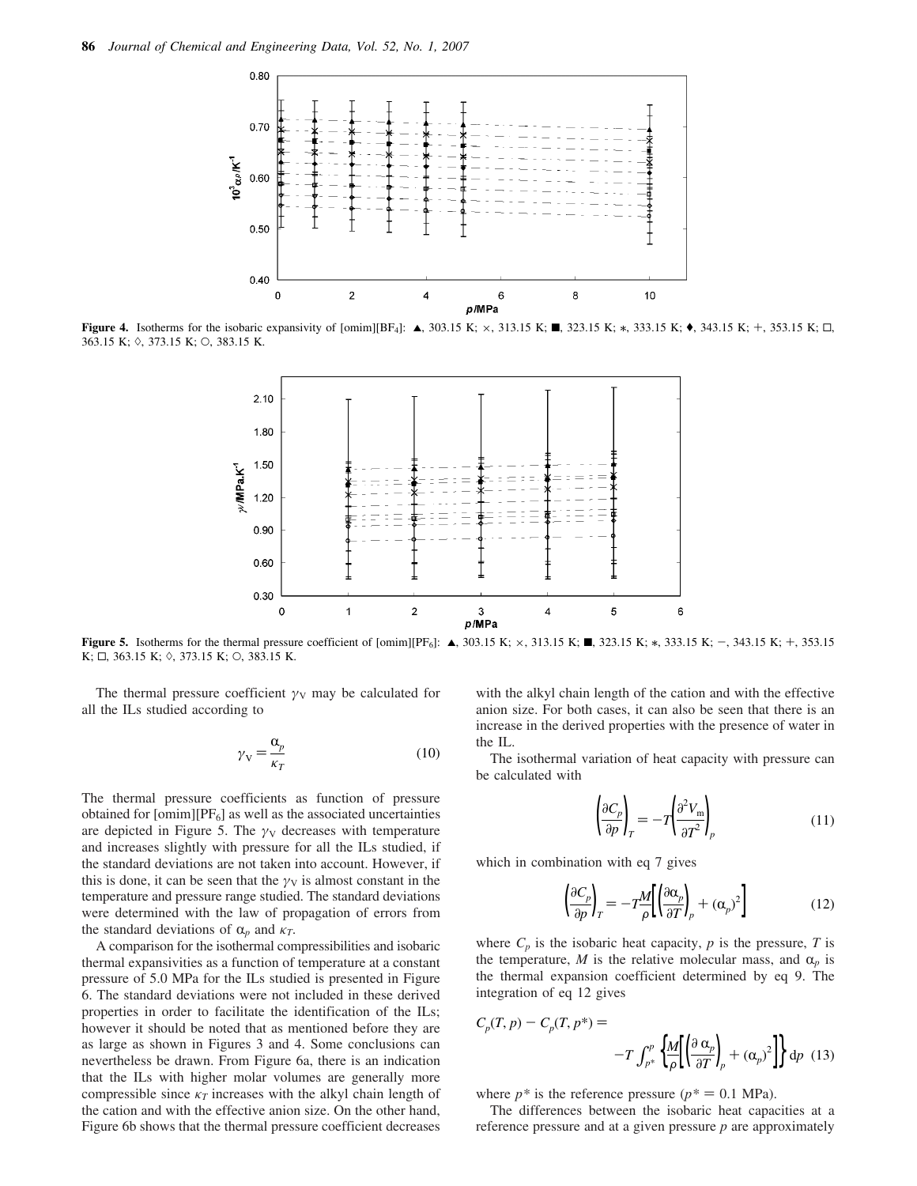

**Figure 4.** Isotherms for the isobaric expansivity of  $\text{[omim][BF4]}$ : **A**, 303.15 K;  $\times$ , 313.15 K; **B**, 323.15 K;  $*$ , 333.15 K;  $*$ , 343.15 K; +, 353.15 K;  $\Box$ , 363.15 K;  $\diamond$ , 373.15 K;  $\circ$ , 383.15 K.



**Figure 5.** Isotherms for the thermal pressure coefficient of [omim][PF<sub>6</sub>]: **△**, 303.15 K; ×, 313.15 K; ■, 323.15 K; \*, 333.15 K; −, 343.15 K; +, 353.15  $K; \Box$ , 363.15 K;  $\diamond$ , 373.15 K;  $\odot$ , 383.15 K.

The thermal pressure coefficient  $\gamma_V$  may be calculated for all the ILs studied according to

$$
\gamma_{\rm V} = \frac{\alpha_p}{\kappa_T} \tag{10}
$$

The thermal pressure coefficients as function of pressure obtained for  $[omim][PF_6]$  as well as the associated uncertainties are depicted in Figure 5. The  $\gamma_V$  decreases with temperature and increases slightly with pressure for all the ILs studied, if the standard deviations are not taken into account. However, if this is done, it can be seen that the  $\gamma_V$  is almost constant in the temperature and pressure range studied. The standard deviations were determined with the law of propagation of errors from the standard deviations of  $\alpha_p$  and  $\kappa_T$ .

A comparison for the isothermal compressibilities and isobaric thermal expansivities as a function of temperature at a constant pressure of 5.0 MPa for the ILs studied is presented in Figure 6. The standard deviations were not included in these derived properties in order to facilitate the identification of the ILs; however it should be noted that as mentioned before they are as large as shown in Figures 3 and 4. Some conclusions can nevertheless be drawn. From Figure 6a, there is an indication that the ILs with higher molar volumes are generally more compressible since  $\kappa_T$  increases with the alkyl chain length of the cation and with the effective anion size. On the other hand, Figure 6b shows that the thermal pressure coefficient decreases with the alkyl chain length of the cation and with the effective anion size. For both cases, it can also be seen that there is an increase in the derived properties with the presence of water in the IL.

The isothermal variation of heat capacity with pressure can be calculated with

$$
\left(\frac{\partial C_p}{\partial p}\right)_T = -T \left(\frac{\partial^2 V_m}{\partial T^2}\right)_p \tag{11}
$$

which in combination with eq 7 gives

$$
\left(\frac{\partial C_p}{\partial p}\right)_T = -T \frac{M}{\rho} \left[ \left(\frac{\partial \alpha_p}{\partial T}\right)_p + (\alpha_p)^2 \right] \tag{12}
$$

where  $C_p$  is the isobaric heat capacity,  $p$  is the pressure,  $T$  is the temperature, *M* is the relative molecular mass, and  $\alpha_p$  is the thermal expansion coefficient determined by eq 9. The integration of eq 12 gives

$$
C_p(T, p) - C_p(T, p^*) =
$$
  
-T  $\int_{p^*}^p {\left\{ \frac{M}{\rho} \left[ \left( \frac{\partial \alpha_p}{\partial T} \right)_p + (\alpha_p)^2 \right] \right\} dp}$  (13)

where  $p^*$  is the reference pressure ( $p^* = 0.1$  MPa).

The differences between the isobaric heat capacities at a reference pressure and at a given pressure *p* are approximately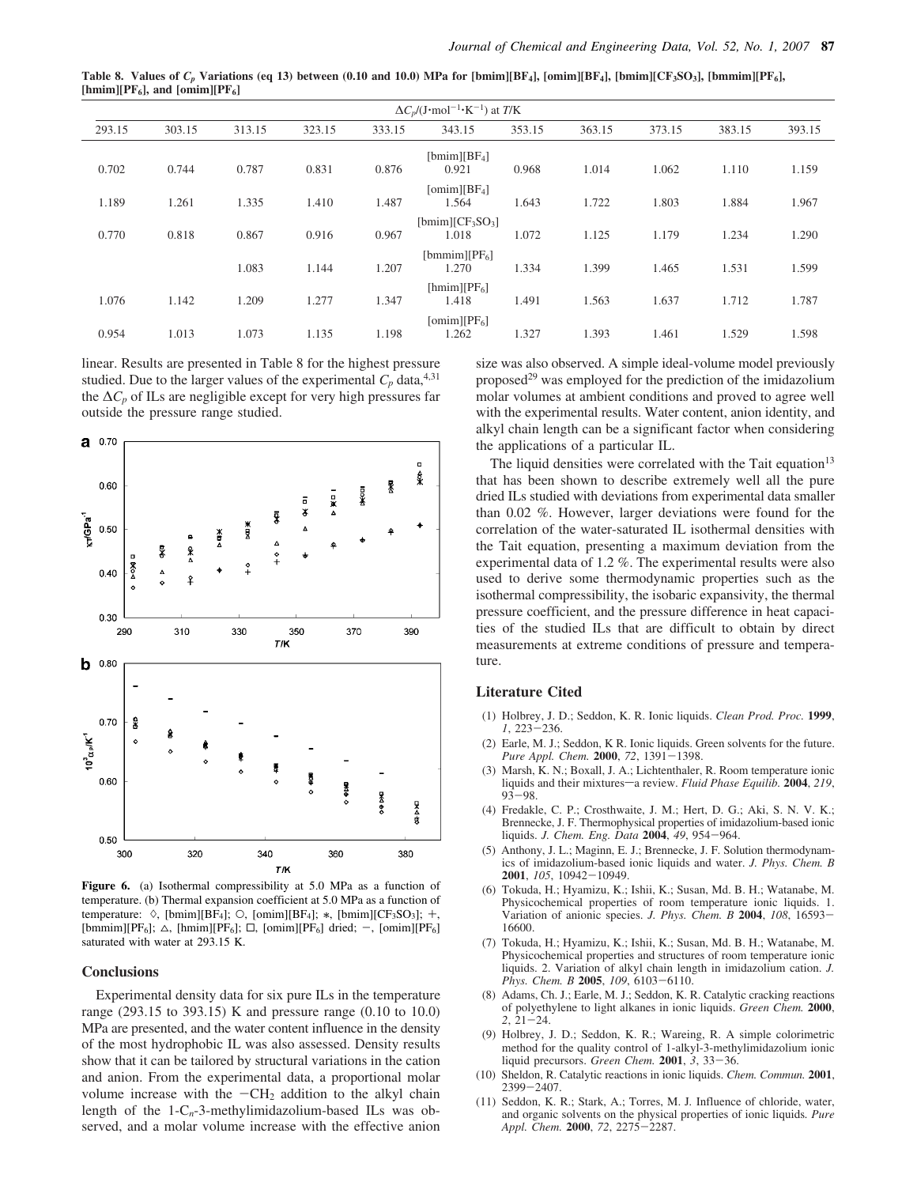Table 8. Values of  $C_p$  Variations (eq 13) between (0.10 and 10.0) MPa for [bmim][BF4], [omim][BF4], [bmim][CF<sub>3</sub>SO<sub>3</sub>], [bmmim][PF<sub>6</sub>], **[hmim][PF6], and [omim][PF6]**

| $\Delta C_p/(J \cdot \text{mol}^{-1} \cdot \text{K}^{-1})$ at T/K |        |        |        |        |                            |        |        |        |        |        |  |
|-------------------------------------------------------------------|--------|--------|--------|--------|----------------------------|--------|--------|--------|--------|--------|--|
| 293.15                                                            | 303.15 | 313.15 | 323.15 | 333.15 | 343.15                     | 353.15 | 363.15 | 373.15 | 383.15 | 393.15 |  |
| $[bmin][BF_4]$                                                    |        |        |        |        |                            |        |        |        |        |        |  |
| 0.702                                                             | 0.744  | 0.787  | 0.831  | 0.876  | 0.921                      | 0.968  | 1.014  | 1.062  | 1.110  | 1.159  |  |
|                                                                   |        |        |        |        | $[omim][BF_4]$             |        |        |        |        |        |  |
| 1.189                                                             | 1.261  | 1.335  | 1.410  | 1.487  | 1.564                      | 1.643  | 1.722  | 1.803  | 1.884  | 1.967  |  |
|                                                                   |        |        |        |        | $[bmim][CF_3SO_3]$         |        |        |        |        |        |  |
| 0.770                                                             | 0.818  | 0.867  | 0.916  | 0.967  | 1.018                      | 1.072  | 1.125  | 1.179  | 1.234  | 1.290  |  |
|                                                                   |        | 1.083  | 1.144  | 1.207  | [bmmim][ $PF_6$ ]<br>1.270 | 1.334  | 1.399  | 1.465  | 1.531  | 1.599  |  |
|                                                                   |        |        |        |        | [hmin][PF <sub>6</sub> ]   |        |        |        |        |        |  |
| 1.076                                                             | 1.142  | 1.209  | 1.277  | 1.347  | 1.418                      | 1.491  | 1.563  | 1.637  | 1.712  | 1.787  |  |
|                                                                   |        |        |        |        | [omin][PF <sub>6</sub> ]   |        |        |        |        |        |  |
| 0.954                                                             | 1.013  | 1.073  | 1.135  | 1.198  | 1.262                      | 1.327  | 1.393  | 1.461  | 1.529  | 1.598  |  |
|                                                                   |        |        |        |        |                            |        |        |        |        |        |  |

linear. Results are presented in Table 8 for the highest pressure studied. Due to the larger values of the experimental  $C_p$  data,<sup>4,31</sup> the  $\Delta C_p$  of ILs are negligible except for very high pressures far outside the pressure range studied.



**Figure 6.** (a) Isothermal compressibility at 5.0 MPa as a function of temperature. (b) Thermal expansion coefficient at 5.0 MPa as a function of temperature:  $\Diamond$ , [bmim][BF<sub>4</sub>];  $\Diamond$ , [omim][BF<sub>4</sub>]; \*, [bmim][CF<sub>3</sub>SO<sub>3</sub>]; +, [bmmim][PF<sub>6</sub>];  $\triangle$ , [hmim][PF<sub>6</sub>];  $\Box$ , [omim][PF<sub>6</sub>] dried;  $-$ , [omim][PF<sub>6</sub>] saturated with water at 293.15 K.

#### **Conclusions**

Experimental density data for six pure ILs in the temperature range (293.15 to 393.15) K and pressure range (0.10 to 10.0) MPa are presented, and the water content influence in the density of the most hydrophobic IL was also assessed. Density results show that it can be tailored by structural variations in the cation and anion. From the experimental data, a proportional molar volume increase with the  $-CH_2$  addition to the alkyl chain length of the 1-C*n*-3-methylimidazolium-based ILs was observed, and a molar volume increase with the effective anion size was also observed. A simple ideal-volume model previously proposed<sup>29</sup> was employed for the prediction of the imidazolium molar volumes at ambient conditions and proved to agree well with the experimental results. Water content, anion identity, and alkyl chain length can be a significant factor when considering the applications of a particular IL.

The liquid densities were correlated with the Tait equation<sup>13</sup> that has been shown to describe extremely well all the pure dried ILs studied with deviations from experimental data smaller than 0.02 %. However, larger deviations were found for the correlation of the water-saturated IL isothermal densities with the Tait equation, presenting a maximum deviation from the experimental data of 1.2 %. The experimental results were also used to derive some thermodynamic properties such as the isothermal compressibility, the isobaric expansivity, the thermal pressure coefficient, and the pressure difference in heat capacities of the studied ILs that are difficult to obtain by direct measurements at extreme conditions of pressure and temperature.

## **Literature Cited**

- (1) Holbrey, J. D.; Seddon, K. R. Ionic liquids. *Clean Prod. Proc.* **1999**, *1*, 223-236.
- (2) Earle, M. J.; Seddon, K R. Ionic liquids. Green solvents for the future. *Pure Appl. Chem.* **2000**, *72*, 1391-1398.
- Marsh, K. N.; Boxall, J. A.; Lichtenthaler, R. Room temperature ionic liquids and their mixtures—a review. *Fluid Phase Equilib.* **2004**, 219, 93-98.
- (4) Fredakle, C. P.; Crosthwaite, J. M.; Hert, D. G.; Aki, S. N. V. K.; Brennecke, J. F. Thermophysical properties of imidazolium-based ionic liquids. *J. Chem. Eng. Data* **2004**, *49*, 954-964.
- (5) Anthony, J. L.; Maginn, E. J.; Brennecke, J. F. Solution thermodynamics of imidazolium-based ionic liquids and water. *J. Phys. Chem. B* **2001**, *105*, 10942-10949.
- (6) Tokuda, H.; Hyamizu, K.; Ishii, K.; Susan, Md. B. H.; Watanabe, M. Physicochemical properties of room temperature ionic liquids. 1. Variation of anionic species. *J. Phys. Chem. B* **2004**, *108*, 16593- 16600.
- (7) Tokuda, H.; Hyamizu, K.; Ishii, K.; Susan, Md. B. H.; Watanabe, M. Physicochemical properties and structures of room temperature ionic liquids. 2. Variation of alkyl chain length in imidazolium cation. *J. Phys. Chem. B* **2005**, *109*, 6103-6110.
- (8) Adams, Ch. J.; Earle, M. J.; Seddon, K. R. Catalytic cracking reactions of polyethylene to light alkanes in ionic liquids. *Green Chem.* **2000**,  $2, \overline{21-24}$ .
- (9) Holbrey, J. D.; Seddon, K. R.; Wareing, R. A simple colorimetric method for the quality control of 1-alkyl-3-methylimidazolium ionic liquid precursors. *Green Chem.* **2001**, *3*, 33-36.
- (10) Sheldon, R. Catalytic reactions in ionic liquids. *Chem. Commun.* **2001**, 2399-2407.
- (11) Seddon, K. R.; Stark, A.; Torres, M. J*.* Influence of chloride, water, and organic solvents on the physical properties of ionic liquids*. Pure Appl. Chem.* **2000**, *72*, 2275-2287.